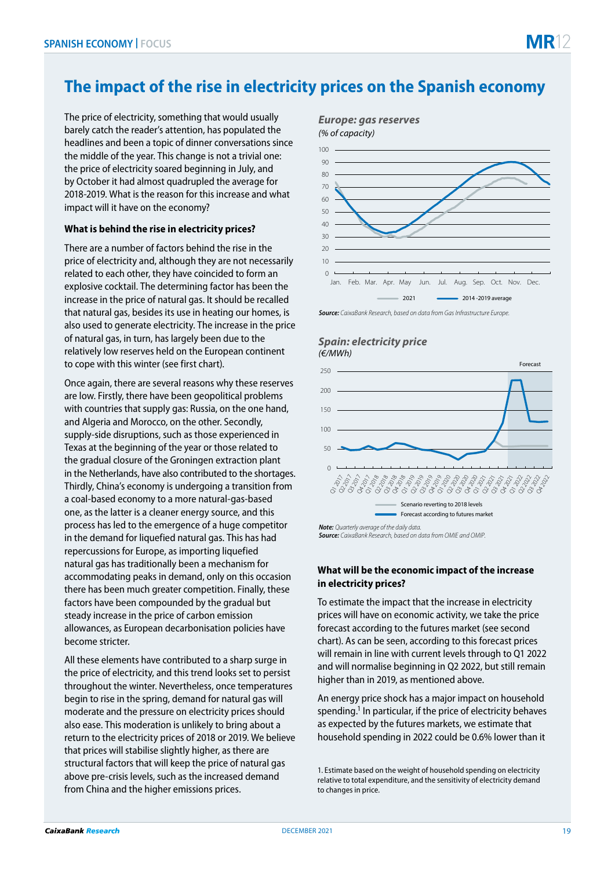# **The impact of the rise in electricity prices on the Spanish economy**

The price of electricity, something that would usually barely catch the reader's attention, has populated the headlines and been a topic of dinner conversations since the middle of the year. This change is not a trivial one: the price of electricity soared beginning in July, and by October it had almost quadrupled the average for 2018-2019. What is the reason for this increase and what impact will it have on the economy?

## **What is behind the rise in electricity prices?**

There are a number of factors behind the rise in the price of electricity and, although they are not necessarily related to each other, they have coincided to form an explosive cocktail. The determining factor has been the increase in the price of natural gas. It should be recalled that natural gas, besides its use in heating our homes, is also used to generate electricity. The increase in the price of natural gas, in turn, has largely been due to the relatively low reserves held on the European continent to cope with this winter (see first chart).

Once again, there are several reasons why these reserves are low. Firstly, there have been geopolitical problems with countries that supply gas: Russia, on the one hand, and Algeria and Morocco, on the other. Secondly, supply-side disruptions, such as those experienced in Texas at the beginning of the year or those related to the gradual closure of the Groningen extraction plant in the Netherlands, have also contributed to the shortages. Thirdly, China's economy is undergoing a transition from a coal-based economy to a more natural-gas-based one, as the latter is a cleaner energy source, and this process has led to the emergence of a huge competitor in the demand for liquefied natural gas. This has had repercussions for Europe, as importing liquefied natural gas has traditionally been a mechanism for accommodating peaks in demand, only on this occasion there has been much greater competition. Finally, these factors have been compounded by the gradual but steady increase in the price of carbon emission allowances, as European decarbonisation policies have become stricter.

All these elements have contributed to a sharp surge in the price of electricity, and this trend looks set to persist throughout the winter. Nevertheless, once temperatures begin to rise in the spring, demand for natural gas will moderate and the pressure on electricity prices should also ease. This moderation is unlikely to bring about a return to the electricity prices of 2018 or 2019. We believe that prices will stabilise slightly higher, as there are structural factors that will keep the price of natural gas above pre-crisis levels, such as the increased demand from China and the higher emissions prices.



*Source: CaixaBank Research, based on data from Gas Infrastructure Europe.*

#### *Spain: electricity price (€/MWh)*



*Source: CaixaBank Research, based on data from OMIE and OMIP.*

### **What will be the economic impact of the increase in electricity prices?**

To estimate the impact that the increase in electricity prices will have on economic activity, we take the price forecast according to the futures market (see second chart). As can be seen, according to this forecast prices will remain in line with current levels through to Q1 2022 and will normalise beginning in Q2 2022, but still remain higher than in 2019, as mentioned above.

An energy price shock has a major impact on household spending.<sup>1</sup> In particular, if the price of electricity behaves as expected by the futures markets, we estimate that household spending in 2022 could be 0.6% lower than it

<sup>1.</sup> Estimate based on the weight of household spending on electricity relative to total expenditure, and the sensitivity of electricity demand to changes in price.